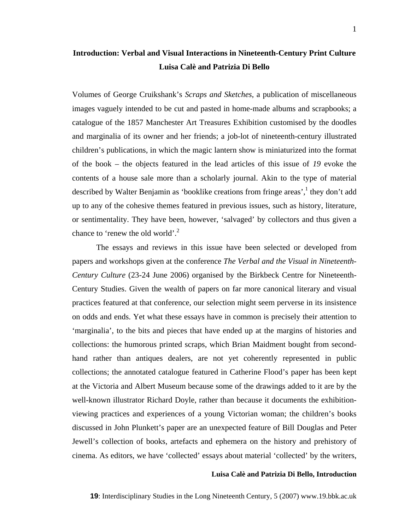# **Introduction: Verbal and Visual Interactions in Nineteenth-Century Print Culture Luisa Calè and Patrizia Di Bello**

Volumes of George Cruikshank's *Scraps and Sketches*, a publication of miscellaneous images vaguely intended to be cut and pasted in home-made albums and scrapbooks; a catalogue of the 1857 Manchester Art Treasures Exhibition customised by the doodles and marginalia of its owner and her friends; a job-lot of nineteenth-century illustrated children's publications, in which the magic lantern show is miniaturized into the format of the book – the objects featured in the lead articles of this issue of *19* evoke the contents of a house sale more than a scholarly journal. Akin to the type of material described by Walter Benjamin as 'booklike creations from fringe areas', they don't add up to any of the cohesive themes featured in previous issues, such as history, literature, or sentimentality. They have been, however, 'salvaged' by collectors and thus given a chance to 'renew the old world'. $^{2}$  $^{2}$  $^{2}$ 

The essays and reviews in this issue have been selected or developed from papers and workshops given at the conference *The Verbal and the Visual in Nineteenth-Century Culture* (23-24 June 2006) organised by the Birkbeck Centre for Nineteenth-Century Studies. Given the wealth of papers on far more canonical literary and visual practices featured at that conference, our selection might seem perverse in its insistence on odds and ends. Yet what these essays have in common is precisely their attention to 'marginalia', to the bits and pieces that have ended up at the margins of histories and collections: the humorous printed scraps, which Brian Maidment bought from secondhand rather than antiques dealers, are not yet coherently represented in public collections; the annotated catalogue featured in Catherine Flood's paper has been kept at the Victoria and Albert Museum because some of the drawings added to it are by the well-known illustrator Richard Doyle, rather than because it documents the exhibitionviewing practices and experiences of a young Victorian woman; the children's books discussed in John Plunkett's paper are an unexpected feature of Bill Douglas and Peter Jewell's collection of books, artefacts and ephemera on the history and prehistory of cinema. As editors, we have 'collected' essays about material 'collected' by the writers,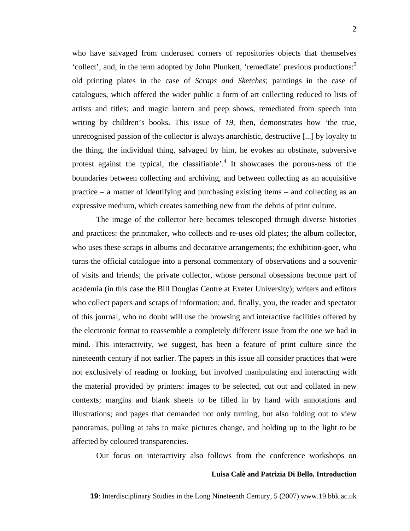who have salvaged from underused corners of repositories objects that themselves 'collect', and, in the term adopted by John Plunkett, 'remediate' previous productions:<sup>3</sup> old printing plates in the case of *Scraps and Sketches*; paintings in the case of catalogues, which offered the wider public a form of art collecting reduced to lists of artists and titles; and magic lantern and peep shows, remediated from speech into writing by children's books. This issue of *19*, then, demonstrates how 'the true, unrecognised passion of the collector is always anarchistic, destructive [...] by loyalty to the thing, the individual thing, salvaged by him, he evokes an obstinate, subversive protest against the typical, the classifiable<sup> $2<sup>4</sup>$  $2<sup>4</sup>$  $2<sup>4</sup>$ </sup> It showcases the porous-ness of the boundaries between collecting and archiving, and between collecting as an acquisitive practice – a matter of identifying and purchasing existing items – and collecting as an expressive medium, which creates something new from the debris of print culture.

The image of the collector here becomes telescoped through diverse histories and practices: the printmaker, who collects and re-uses old plates; the album collector, who uses these scraps in albums and decorative arrangements; the exhibition-goer, who turns the official catalogue into a personal commentary of observations and a souvenir of visits and friends; the private collector, whose personal obsessions become part of academia (in this case the Bill Douglas Centre at Exeter University); writers and editors who collect papers and scraps of information; and, finally, you, the reader and spectator of this journal, who no doubt will use the browsing and interactive facilities offered by the electronic format to reassemble a completely different issue from the one we had in mind. This interactivity, we suggest, has been a feature of print culture since the nineteenth century if not earlier. The papers in this issue all consider practices that were not exclusively of reading or looking, but involved manipulating and interacting with the material provided by printers: images to be selected, cut out and collated in new contexts; margins and blank sheets to be filled in by hand with annotations and illustrations; and pages that demanded not only turning, but also folding out to view panoramas, pulling at tabs to make pictures change, and holding up to the light to be affected by coloured transparencies.

Our focus on interactivity also follows from the conference workshops on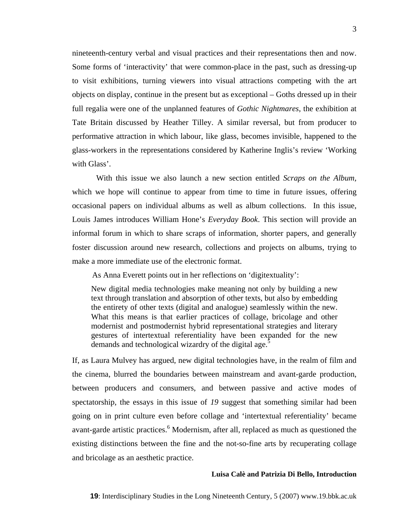nineteenth-century verbal and visual practices and their representations then and now. Some forms of 'interactivity' that were common-place in the past, such as dressing-up to visit exhibitions, turning viewers into visual attractions competing with the art objects on display, continue in the present but as exceptional – Goths dressed up in their full regalia were one of the unplanned features of *Gothic Nightmares*, the exhibition at Tate Britain discussed by Heather Tilley. A similar reversal, but from producer to performative attraction in which labour, like glass, becomes invisible, happened to the glass-workers in the representations considered by Katherine Inglis's review 'Working with Glass'.

With this issue we also launch a new section entitled *Scraps on the Album,*  which we hope will continue to appear from time to time in future issues, offering occasional papers on individual albums as well as album collections. In this issue, Louis James introduces William Hone's *Everyday Book*. This section will provide an informal forum in which to share scraps of information, shorter papers, and generally foster discussion around new research, collections and projects on albums, trying to make a more immediate use of the electronic format.

As Anna Everett points out in her reflections on 'digitextuality':

New digital media technologies make meaning not only by building a new text through translation and absorption of other texts, but also by embedding the entirety of other texts (digital and analogue) seamlessly within the new. What this means is that earlier practices of collage, bricolage and other modernist and postmodernist hybrid representational strategies and literary gestures of intertextual referentiality have been expanded for the new demands and technological wizardry of the digital age.<sup>[5](#page-8-4)</sup>

If, as Laura Mulvey has argued, new digital technologies have, in the realm of film and the cinema, blurred the boundaries between mainstream and avant-garde production, between producers and consumers, and between passive and active modes of spectatorship, the essays in this issue of *19* suggest that something similar had been going on in print culture even before collage and 'intertextual referentiality' became avant-garde artistic practices.<sup>[6](#page-8-5)</sup> Modernism, after all, replaced as much as questioned the existing distinctions between the fine and the not-so-fine arts by recuperating collage and bricolage as an aesthetic practice.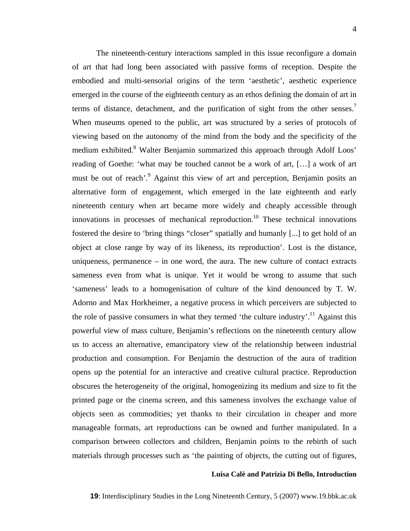The nineteenth-century interactions sampled in this issue reconfigure a domain of art that had long been associated with passive forms of reception. Despite the embodied and multi-sensorial origins of the term 'aesthetic', aesthetic experience emerged in the course of the eighteenth century as an ethos defining the domain of art in terms of distance, detachment, and the purification of sight from the other senses.<sup>7</sup> When museums opened to the public, art was structured by a series of protocols of viewing based on the autonomy of the mind from the body and the specificity of the medium exhibited.<sup>[8](#page-8-7)</sup> Walter Benjamin summarized this approach through Adolf Loos' reading of Goethe: 'what may be touched cannot be a work of art, […] a work of art must be out of reach'.<sup>[9](#page-8-8)</sup> Against this view of art and perception, Benjamin posits an alternative form of engagement, which emerged in the late eighteenth and early nineteenth century when art became more widely and cheaply accessible through innovations in processes of mechanical reproduction.<sup>10</sup> These technical innovations fostered the desire to 'bring things "closer" spatially and humanly [...] to get hold of an object at close range by way of its likeness, its reproduction'. Lost is the distance, uniqueness, permanence – in one word, the aura. The new culture of contact extracts sameness even from what is unique. Yet it would be wrong to assume that such 'sameness' leads to a homogenisation of culture of the kind denounced by T. W. Adorno and Max Horkheimer, a negative process in which perceivers are subjected to the role of passive consumers in what they termed 'the culture industry'.<sup>11</sup> Against this powerful view of mass culture, Benjamin's reflections on the nineteenth century allow us to access an alternative, emancipatory view of the relationship between industrial production and consumption. For Benjamin the destruction of the aura of tradition opens up the potential for an interactive and creative cultural practice. Reproduction obscures the heterogeneity of the original, homogenizing its medium and size to fit the printed page or the cinema screen, and this sameness involves the exchange value of objects seen as commodities; yet thanks to their circulation in cheaper and more manageable formats, art reproductions can be owned and further manipulated. In a comparison between collectors and children, Benjamin points to the rebirth of such materials through processes such as 'the painting of objects, the cutting out of figures,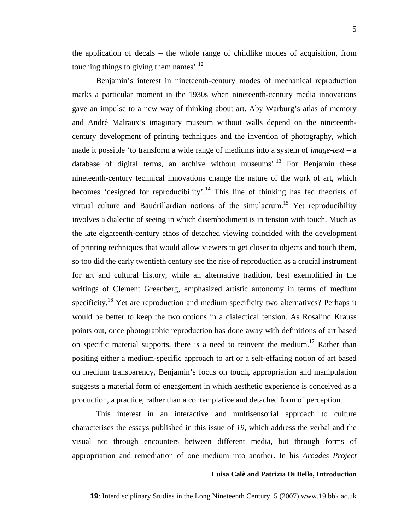the application of decals – the whole range of childlike modes of acquisition, from touching things to giving them names'. $^{12}$ 

Benjamin's interest in nineteenth-century modes of mechanical reproduction marks a particular moment in the 1930s when nineteenth-century media innovations gave an impulse to a new way of thinking about art. Aby Warburg's atlas of memory and André Malraux's imaginary museum without walls depend on the nineteenthcentury development of printing techniques and the invention of photography, which made it possible 'to transform a wide range of mediums into a system of *image-text* – a database of digital terms, an archive without museums'.<sup>13</sup> For Benjamin these nineteenth-century technical innovations change the nature of the work of art, which becomes 'designed for reproducibility'.<sup>14</sup> This line of thinking has fed theorists of virtual culture and Baudrillardian notions of the simulacrum.<sup>15</sup> Yet reproducibility involves a dialectic of seeing in which disembodiment is in tension with touch. Much as the late eighteenth-century ethos of detached viewing coincided with the development of printing techniques that would allow viewers to get closer to objects and touch them, so too did the early twentieth century see the rise of reproduction as a crucial instrument for art and cultural history, while an alternative tradition, best exemplified in the writings of Clement Greenberg, emphasized artistic autonomy in terms of medium specificity.<sup>16</sup> Yet are reproduction and medium specificity two alternatives? Perhaps it would be better to keep the two options in a dialectical tension. As Rosalind Krauss points out, once photographic reproduction has done away with definitions of art based on specific material supports, there is a need to reinvent the medium.<sup>17</sup> Rather than positing either a medium-specific approach to art or a self-effacing notion of art based on medium transparency, Benjamin's focus on touch, appropriation and manipulation suggests a material form of engagement in which aesthetic experience is conceived as a production, a practice, rather than a contemplative and detached form of perception.

This interest in an interactive and multisensorial approach to culture characterises the essays published in this issue of *19*, which address the verbal and the visual not through encounters between different media, but through forms of appropriation and remediation of one medium into another. In his *Arcades Project*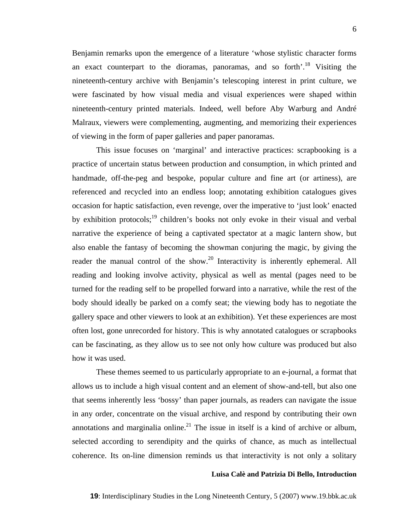Benjamin remarks upon the emergence of a literature 'whose stylistic character forms an exact counterpart to the dioramas, panoramas, and so forth<sup>''</sup>.<sup>18</sup> Visiting the nineteenth-century archive with Benjamin's telescoping interest in print culture, we were fascinated by how visual media and visual experiences were shaped within nineteenth-century printed materials. Indeed, well before Aby Warburg and André Malraux, viewers were complementing, augmenting, and memorizing their experiences of viewing in the form of paper galleries and paper panoramas.

This issue focuses on 'marginal' and interactive practices: scrapbooking is a practice of uncertain status between production and consumption, in which printed and handmade, off-the-peg and bespoke, popular culture and fine art (or artiness), are referenced and recycled into an endless loop; annotating exhibition catalogues gives occasion for haptic satisfaction, even revenge, over the imperative to 'just look' enacted by exhibition protocols;<sup>19</sup> children's books not only evoke in their visual and verbal narrative the experience of being a captivated spectator at a magic lantern show, but also enable the fantasy of becoming the showman conjuring the magic, by giving the reader the manual control of the show.<sup>20</sup> Interactivity is inherently ephemeral. All reading and looking involve activity, physical as well as mental (pages need to be turned for the reading self to be propelled forward into a narrative, while the rest of the body should ideally be parked on a comfy seat; the viewing body has to negotiate the gallery space and other viewers to look at an exhibition). Yet these experiences are most often lost, gone unrecorded for history. This is why annotated catalogues or scrapbooks can be fascinating, as they allow us to see not only how culture was produced but also how it was used.

These themes seemed to us particularly appropriate to an e-journal, a format that allows us to include a high visual content and an element of show-and-tell, but also one that seems inherently less 'bossy' than paper journals, as readers can navigate the issue in any order, concentrate on the visual archive, and respond by contributing their own annotations and marginalia online.<sup>21</sup> The issue in itself is a kind of archive or album, selected according to serendipity and the quirks of chance, as much as intellectual coherence. Its on-line dimension reminds us that interactivity is not only a solitary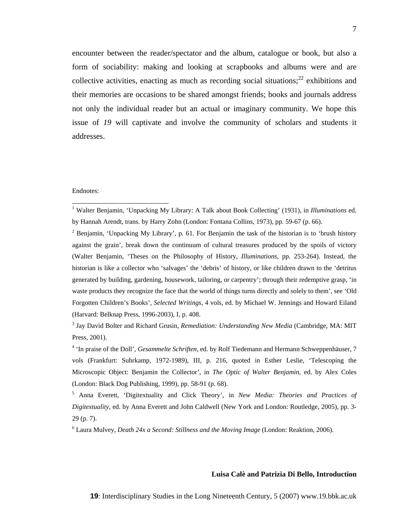encounter between the reader/spectator and the album, catalogue or book, but also a form of sociability: making and looking at scrapbooks and albums were and are collective activities, enacting as much as recording social situations;<sup>22</sup> exhibitions and their memories are occasions to be shared amongst friends; books and journals address not only the individual reader but an actual or imaginary community. We hope this issue of *19* will captivate and involve the community of scholars and students it addresses.

#### Endnotes:

 <sup>1</sup> Walter Benjamin, 'Unpacking My Library: A Talk about Book Collecting' (1931), in *Illuminations* ed. by Hannah Arendt, trans. by Harry Zohn (London: Fontana Collins, 1973), pp. 59-67 (p. 66).

<sup>&</sup>lt;sup>2</sup> Benjamin, 'Unpacking My Library', p. 61. For Benjamin the task of the historian is to 'brush history against the grain', break down the continuum of cultural treasures produced by the spoils of victory (Walter Benjamin, 'Theses on the Philosophy of History, *Illuminations*, pp. 253-264). Instead, the historian is like a collector who 'salvages' the 'debris' of history, or like children drawn to the 'detritus generated by building, gardening, housework, tailoring, or carpentry'; through their redemptive grasp, 'in waste products they recognize the face that the world of things turns directly and solely to them', see 'Old Forgotten Children's Books', *Selected Writings*, 4 vols, ed. by Michael W. Jennings and Howard Eiland (Harvard: Belknap Press, 1996-2003), I, p. 408.

<sup>&</sup>lt;sup>3</sup> Jay David Bolter and Richard Grusin, *Remediation: Understanding New Media* (Cambridge, MA: MIT Press, 2001).

<sup>&</sup>lt;sup>4</sup> 'In praise of the Doll', *Gesammelte Schriften*, ed. by Rolf Tiedemann and Hermann Schweppenhäuser, 7 vols (Frankfurt: Suhrkamp, 1972-1989), III, p. 216, quoted in Esther Leslie, 'Telescoping the Microscopic Object: Benjamin the Collector', in *The Optic of Walter Benjamin*, ed. by Alex Coles (London: Black Dog Publishing, 1999), pp. 58-91 (p. 68).

<sup>5</sup> Anna Everett, 'Digitextuality and Click Theory', in *New Media: Theories and Practices of Digitextuality*, ed. by Anna Everett and John Caldwell (New York and London: Routledge, 2005), pp. 3- 29 (p. 7).

<sup>6</sup> Laura Mulvey, *Death 24x a Second: Stillness and the Moving Image* (London: Reaktion, 2006).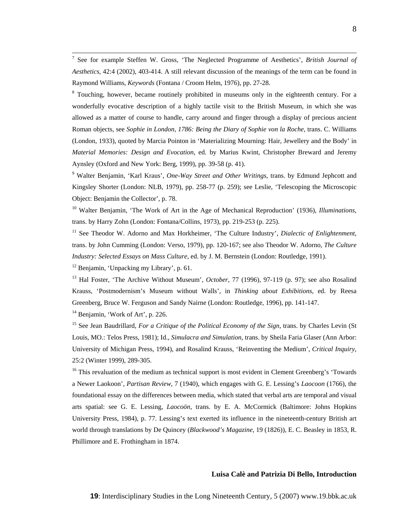7 See for example Steffen W. Gross, 'The Neglected Programme of Aesthetics', *British Journal of Aesthetics*, 42:4 (2002), 403-414. A still relevant discussion of the meanings of the term can be found in Raymond Williams, *Keywords* (Fontana / Croom Helm, 1976), pp. 27-28.

<sup>8</sup> Touching, however, became routinely prohibited in museums only in the eighteenth century. For a wonderfully evocative description of a highly tactile visit to the British Museum, in which she was allowed as a matter of course to handle, carry around and finger through a display of precious ancient Roman objects, see *Sophie in London, 1786: Being the Diary of Sophie von la Roche*, trans. C. Williams (London, 1933), quoted by Marcia Pointon in 'Materializing Mourning: Hair, Jewellery and the Body' in *Material Memories: Design and Evocation*, ed. by Marius Kwint, Christopher Breward and Jeremy Aynsley (Oxford and New York: Berg, 1999), pp. 39-58 (p. 41).

9 Walter Benjamin, 'Karl Kraus', *One-Way Street and Other Writings*, trans. by Edmund Jephcott and Kingsley Shorter (London: NLB, 1979), pp. 258-77 (p. 259); see Leslie, 'Telescoping the Microscopic Object: Benjamin the Collector', p. 78.

<sup>10</sup> Walter Benjamin, 'The Work of Art in the Age of Mechanical Reproduction' (1936), *Illuminations*, trans. by Harry Zohn (London: Fontana/Collins, 1973), pp. 219-253 (p. 225).

<sup>11</sup> See Theodor W. Adorno and Max Horkheimer, 'The Culture Industry', *Dialectic of Enlightenment*, trans. by John Cumming (London: Verso, 1979), pp. 120-167; see also Theodor W. Adorno, *The Culture Industry: Selected Essays on Mass Culture*, ed. by J. M. Bernstein (London: Routledge, 1991).

 $12$  Benjamin, 'Unpacking my Library', p. 61.

13 Hal Foster, 'The Archive Without Museum', *October*, 77 (1996), 97-119 (p. 97); see also Rosalind Krauss, 'Postmodernism's Museum without Walls', in *Thinking about Exhibitions*, ed. by Reesa Greenberg, Bruce W. Ferguson and Sandy Nairne (London: Routledge, 1996), pp. 141-147.

<sup>14</sup> Benjamin, 'Work of Art', p. 226.

<sup>15</sup> See Jean Baudrillard, *For a Critique of the Political Economy of the Sign*, trans. by Charles Levin (St Louis, MO.: Telos Press, 1981); Id., *Simulacra and Simulation*, trans. by Sheila Faria Glaser (Ann Arbor: University of Michigan Press, 1994), and Rosalind Krauss, 'Reinventing the Medium', *Critical Inquiry*, 25:2 (Winter 1999), 289-305.

<sup>16</sup> This revaluation of the medium as technical support is most evident in Clement Greenberg's 'Towards' a Newer Laokoon', *Partisan Review*, 7 (1940), which engages with G. E. Lessing's *Laocoon* (1766), the foundational essay on the differences between media, which stated that verbal arts are temporal and visual arts spatial: see G. E. Lessing, *Laocoön*, trans. by E. A. McCormick (Baltimore: Johns Hopkins University Press, 1984), p. 77. Lessing's text exerted its influence in the nineteenth-century British art world through translations by De Quincey (*Blackwood's Magazine*, 19 (1826)), E. C. Beasley in 1853, R. Phillimore and E. Frothingham in 1874.